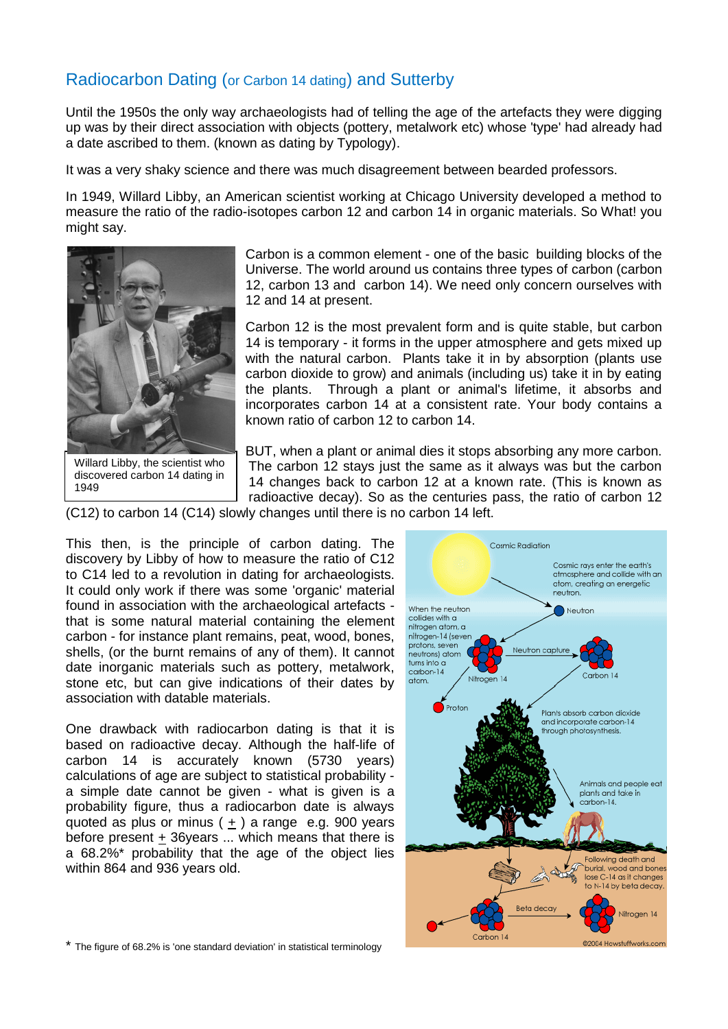## Radiocarbon Dating (or Carbon 14 dating) and Sutterby

Until the 1950s the only way archaeologists had of telling the age of the artefacts they were digging up was by their direct association with objects (pottery, metalwork etc) whose 'type' had already had a date ascribed to them. (known as dating by Typology).

It was a very shaky science and there was much disagreement between bearded professors.

In 1949, Willard Libby, an American scientist working at Chicago University developed a method to measure the ratio of the radio-isotopes carbon 12 and carbon 14 in organic materials. So What! you might say.



discovered carbon 14 dating in 1949

Carbon is a common element - one of the basic building blocks of the Universe. The world around us contains three types of carbon (carbon 12, carbon 13 and carbon 14). We need only concern ourselves with 12 and 14 at present.

Carbon 12 is the most prevalent form and is quite stable, but carbon 14 is temporary - it forms in the upper atmosphere and gets mixed up with the natural carbon. Plants take it in by absorption (plants use carbon dioxide to grow) and animals (including us) take it in by eating the plants. Through a plant or animal's lifetime, it absorbs and incorporates carbon 14 at a consistent rate. Your body contains a known ratio of carbon 12 to carbon 14.

BUT, when a plant or animal dies it stops absorbing any more carbon. The carbon 12 stays just the same as it always was but the carbon 14 changes back to carbon 12 at a known rate. (This is known as radioactive decay). So as the centuries pass, the ratio of carbon 12

(C12) to carbon 14 (C14) slowly changes until there is no carbon 14 left.

This then, is the principle of carbon dating. The discovery by Libby of how to measure the ratio of C12 to C14 led to a revolution in dating for archaeologists. It could only work if there was some 'organic' material found in association with the archaeological artefacts that is some natural material containing the element carbon - for instance plant remains, peat, wood, bones, shells, (or the burnt remains of any of them). It cannot date inorganic materials such as pottery, metalwork, stone etc, but can give indications of their dates by association with datable materials.

One drawback with radiocarbon dating is that it is based on radioactive decay. Although the half-life of carbon 14 is accurately known (5730 years) calculations of age are subject to statistical probability a simple date cannot be given - what is given is a probability figure, thus a radiocarbon date is always quoted as plus or minus  $( + )$  a range e.g. 900 years before present + 36years ... which means that there is a 68.2%\* probability that the age of the object lies within 864 and 936 years old.



\* The figure of 68.2% is 'one standard deviation' in statistical terminology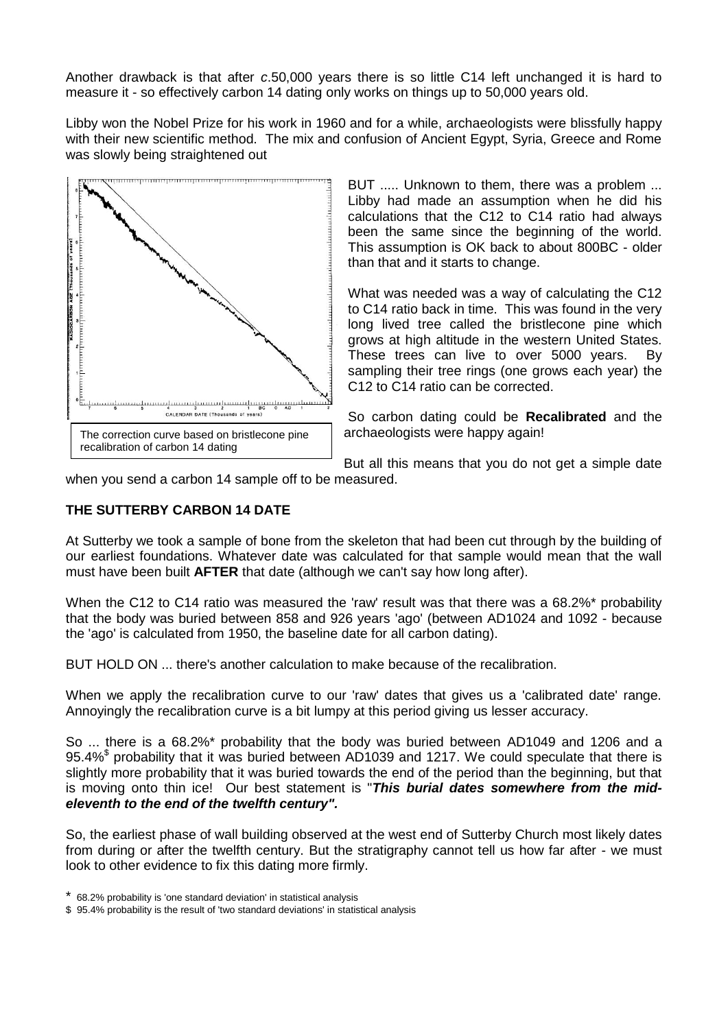Another drawback is that after *c*.50,000 years there is so little C14 left unchanged it is hard to measure it - so effectively carbon 14 dating only works on things up to 50,000 years old.

Libby won the Nobel Prize for his work in 1960 and for a while, archaeologists were blissfully happy with their new scientific method. The mix and confusion of Ancient Egypt, Syria, Greece and Rome was slowly being straightened out



BUT ..... Unknown to them, there was a problem ... Libby had made an assumption when he did his calculations that the C12 to C14 ratio had always been the same since the beginning of the world. This assumption is OK back to about 800BC - older than that and it starts to change.

What was needed was a way of calculating the C12 to C14 ratio back in time. This was found in the very long lived tree called the bristlecone pine which grows at high altitude in the western United States. These trees can live to over 5000 years. By sampling their tree rings (one grows each year) the C12 to C14 ratio can be corrected.

So carbon dating could be **Recalibrated** and the archaeologists were happy again!

But all this means that you do not get a simple date

when you send a carbon 14 sample off to be measured.

## **THE SUTTERBY CARBON 14 DATE**

At Sutterby we took a sample of bone from the skeleton that had been cut through by the building of our earliest foundations. Whatever date was calculated for that sample would mean that the wall must have been built **AFTER** that date (although we can't say how long after).

When the C12 to C14 ratio was measured the 'raw' result was that there was a 68.2%\* probability that the body was buried between 858 and 926 years 'ago' (between AD1024 and 1092 - because the 'ago' is calculated from 1950, the baseline date for all carbon dating).

BUT HOLD ON ... there's another calculation to make because of the recalibration.

When we apply the recalibration curve to our 'raw' dates that gives us a 'calibrated date' range. Annoyingly the recalibration curve is a bit lumpy at this period giving us lesser accuracy.

So ... there is a 68.2%\* probability that the body was buried between AD1049 and 1206 and a 95.4% \$ probability that it was buried between AD1039 and 1217. We could speculate that there is slightly more probability that it was buried towards the end of the period than the beginning, but that is moving onto thin ice! Our best statement is "*This burial dates somewhere from the mideleventh to the end of the twelfth century".*

So, the earliest phase of wall building observed at the west end of Sutterby Church most likely dates from during or after the twelfth century. But the stratigraphy cannot tell us how far after - we must look to other evidence to fix this dating more firmly.

<sup>\*</sup> 68.2% probability is 'one standard deviation' in statistical analysis

<sup>\$ 95.4%</sup> probability is the result of 'two standard deviations' in statistical analysis